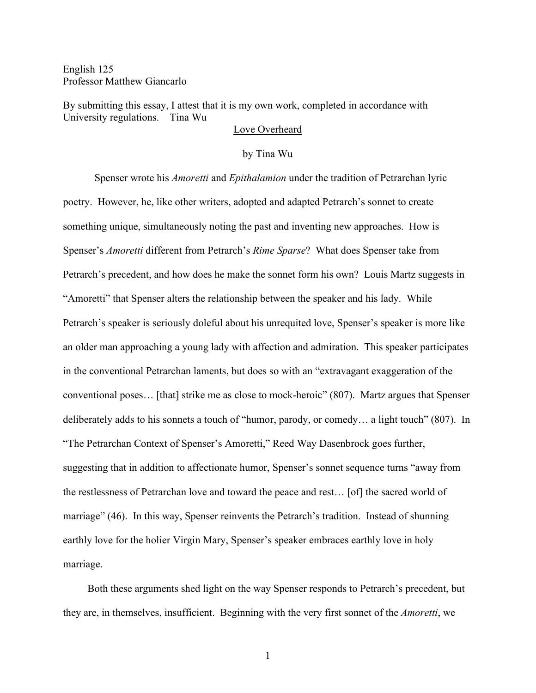English 125 Professor Matthew Giancarlo

By submitting this essay, I attest that it is my own work, completed in accordance with University regulations.—Tina Wu

## Love Overheard

## by Tina Wu

Spenser wrote his *Amoretti* and *Epithalamion* under the tradition of Petrarchan lyric poetry. However, he, like other writers, adopted and adapted Petrarch's sonnet to create something unique, simultaneously noting the past and inventing new approaches. How is Spenser's *Amoretti* different from Petrarch's *Rime Sparse*? What does Spenser take from Petrarch's precedent, and how does he make the sonnet form his own? Louis Martz suggests in "Amoretti" that Spenser alters the relationship between the speaker and his lady. While Petrarch's speaker is seriously doleful about his unrequited love, Spenser's speaker is more like an older man approaching a young lady with affection and admiration. This speaker participates in the conventional Petrarchan laments, but does so with an "extravagant exaggeration of the conventional poses… [that] strike me as close to mock-heroic" (807). Martz argues that Spenser deliberately adds to his sonnets a touch of "humor, parody, or comedy… a light touch" (807). In "The Petrarchan Context of Spenser's Amoretti," Reed Way Dasenbrock goes further, suggesting that in addition to affectionate humor, Spenser's sonnet sequence turns "away from the restlessness of Petrarchan love and toward the peace and rest… [of] the sacred world of marriage" (46). In this way, Spenser reinvents the Petrarch's tradition. Instead of shunning earthly love for the holier Virgin Mary, Spenser's speaker embraces earthly love in holy marriage.

Both these arguments shed light on the way Spenser responds to Petrarch's precedent, but they are, in themselves, insufficient. Beginning with the very first sonnet of the *Amoretti*, we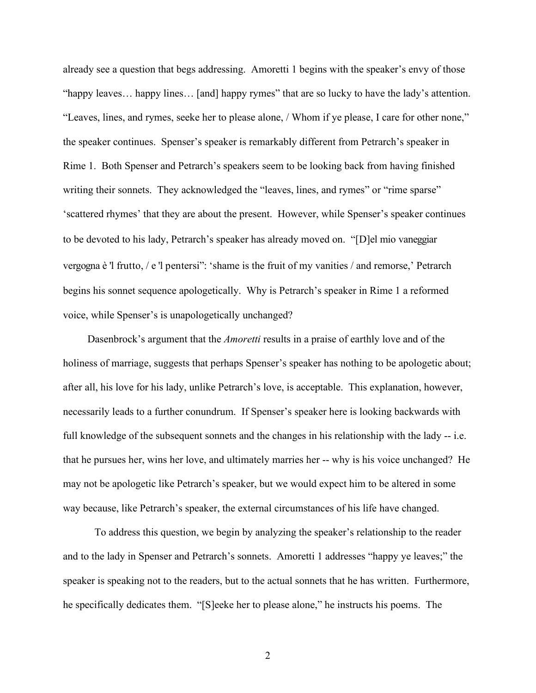already see a question that begs addressing. Amoretti 1 begins with the speaker's envy of those "happy leaves… happy lines… [and] happy rymes" that are so lucky to have the lady's attention. "Leaves, lines, and rymes, seeke her to please alone, / Whom if ye please, I care for other none," the speaker continues. Spenser's speaker is remarkably different from Petrarch's speaker in Rime 1. Both Spenser and Petrarch's speakers seem to be looking back from having finished writing their sonnets. They acknowledged the "leaves, lines, and rymes" or "rime sparse" 'scattered rhymes' that they are about the present. However, while Spenser's speaker continues to be devoted to his lady, Petrarch's speaker has already moved on. "[D]el mio vaneggiar vergogna è 'l frutto, / e 'l pentersi": 'shame is the fruit of my vanities / and remorse,' Petrarch begins his sonnet sequence apologetically. Why is Petrarch's speaker in Rime 1 a reformed voice, while Spenser's is unapologetically unchanged?

Dasenbrock's argument that the *Amoretti* results in a praise of earthly love and of the holiness of marriage, suggests that perhaps Spenser's speaker has nothing to be apologetic about; after all, his love for his lady, unlike Petrarch's love, is acceptable. This explanation, however, necessarily leads to a further conundrum. If Spenser's speaker here is looking backwards with full knowledge of the subsequent sonnets and the changes in his relationship with the lady -- i.e. that he pursues her, wins her love, and ultimately marries her -- why is his voice unchanged? He may not be apologetic like Petrarch's speaker, but we would expect him to be altered in some way because, like Petrarch's speaker, the external circumstances of his life have changed.

To address this question, we begin by analyzing the speaker's relationship to the reader and to the lady in Spenser and Petrarch's sonnets. Amoretti 1 addresses "happy ye leaves;" the speaker is speaking not to the readers, but to the actual sonnets that he has written. Furthermore, he specifically dedicates them. "[S]eeke her to please alone," he instructs his poems. The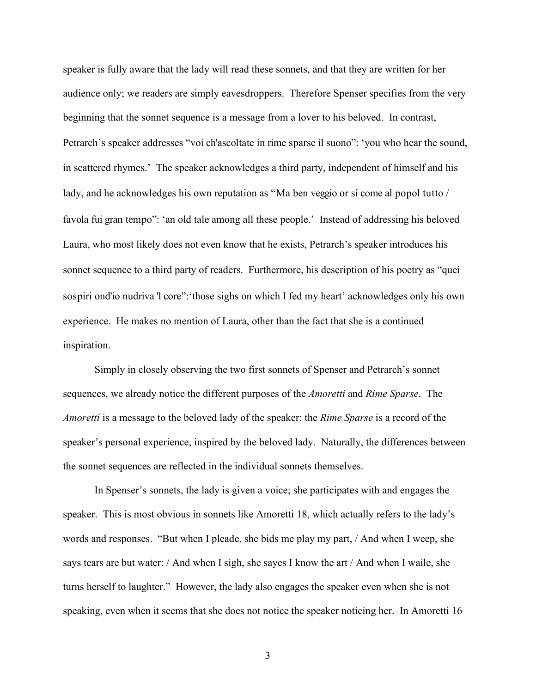speaker is fully aware that the lady will read these sonnets, and that they are written for her audience only; we readers are simply eavesdroppers. Therefore Spenser specifies from the very beginning that the sonnet sequence is a message from a lover to his beloved. In contrast, Petrarch's speaker addresses "voi ch'ascoltate in rime sparse il suono": 'you who hear the sound, in scattered rhymes.' The speaker acknowledges a third party, independent of himself and his lady, and he acknowledges his own reputation as "Ma ben veggio or sí come al popol tutto / favola fui gran tempo": 'an old tale among all these people.' Instead of addressing his beloved Laura, who most likely does not even know that he exists, Petrarch's speaker introduces his sonnet sequence to a third party of readers. Furthermore, his description of his poetry as "quei sospiri ond'io nudriva 'l core":'those sighs on which I fed my heart' acknowledges only his own experience. He makes no mention of Laura, other than the fact that she is a continued inspiration.

Simply in closely observing the two first sonnets of Spenser and Petrarch's sonnet sequences, we already notice the different purposes of the *Amoretti* and *Rime Sparse*. The *Amoretti* is a message to the beloved lady of the speaker; the *Rime Sparse* is a record of the speaker's personal experience, inspired by the beloved lady. Naturally, the differences between the sonnet sequences are reflected in the individual sonnets themselves.

In Spenser's sonnets, the lady is given a voice; she participates with and engages the speaker. This is most obvious in sonnets like Amoretti 18, which actually refers to the lady's words and responses. "But when I pleade, she bids me play my part, / And when I weep, she says tears are but water: / And when I sigh, she sayes I know the art / And when I waile, she turns herself to laughter." However, the lady also engages the speaker even when she is not speaking, even when it seems that she does not notice the speaker noticing her. In Amoretti 16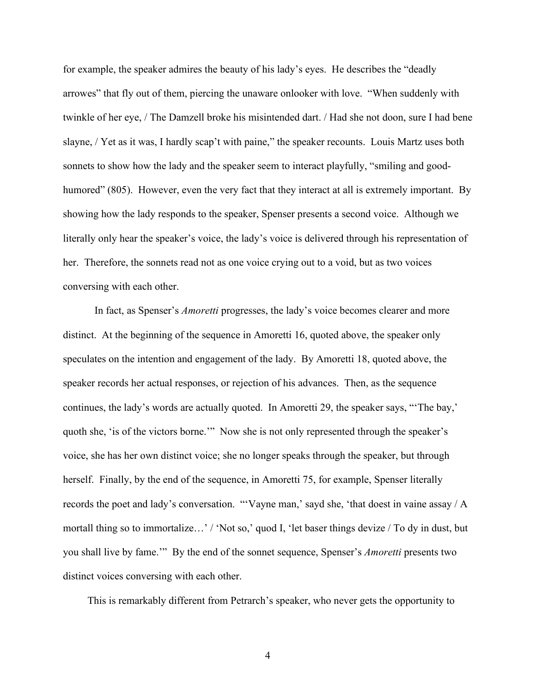for example, the speaker admires the beauty of his lady's eyes. He describes the "deadly arrowes" that fly out of them, piercing the unaware onlooker with love. "When suddenly with twinkle of her eye, / The Damzell broke his misintended dart. / Had she not doon, sure I had bene slayne, / Yet as it was, I hardly scap't with paine," the speaker recounts. Louis Martz uses both sonnets to show how the lady and the speaker seem to interact playfully, "smiling and goodhumored" (805). However, even the very fact that they interact at all is extremely important. By showing how the lady responds to the speaker, Spenser presents a second voice. Although we literally only hear the speaker's voice, the lady's voice is delivered through his representation of her. Therefore, the sonnets read not as one voice crying out to a void, but as two voices conversing with each other.

In fact, as Spenser's *Amoretti* progresses, the lady's voice becomes clearer and more distinct. At the beginning of the sequence in Amoretti 16, quoted above, the speaker only speculates on the intention and engagement of the lady. By Amoretti 18, quoted above, the speaker records her actual responses, or rejection of his advances. Then, as the sequence continues, the lady's words are actually quoted. In Amoretti 29, the speaker says, "'The bay,' quoth she, 'is of the victors borne.'" Now she is not only represented through the speaker's voice, she has her own distinct voice; she no longer speaks through the speaker, but through herself. Finally, by the end of the sequence, in Amoretti 75, for example, Spenser literally records the poet and lady's conversation. "'Vayne man,' sayd she, 'that doest in vaine assay / A mortall thing so to immortalize…' / 'Not so,' quod I, 'let baser things devize / To dy in dust, but you shall live by fame.'" By the end of the sonnet sequence, Spenser's *Amoretti* presents two distinct voices conversing with each other.

This is remarkably different from Petrarch's speaker, who never gets the opportunity to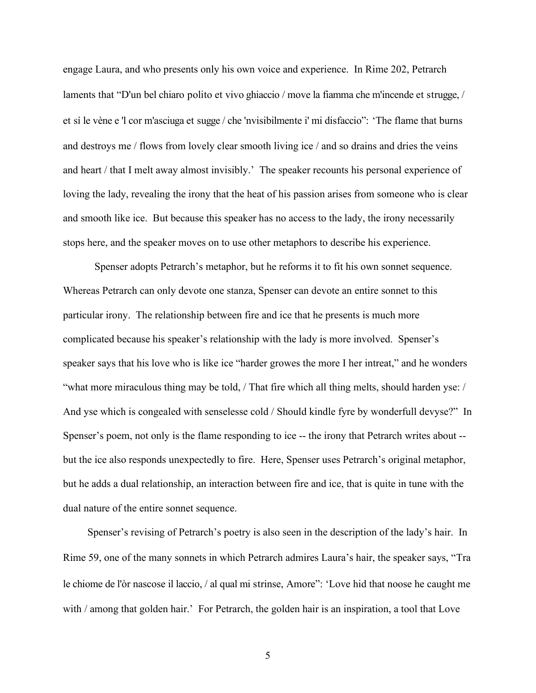engage Laura, and who presents only his own voice and experience. In Rime 202, Petrarch laments that "D'un bel chiaro polito et vivo ghiaccio / move la fiamma che m'incende et strugge, / et sí le vène e 'l cor m'asciuga et sugge / che 'nvisibilmente i' mi disfaccio": 'The flame that burns and destroys me / flows from lovely clear smooth living ice / and so drains and dries the veins and heart / that I melt away almost invisibly.' The speaker recounts his personal experience of loving the lady, revealing the irony that the heat of his passion arises from someone who is clear and smooth like ice. But because this speaker has no access to the lady, the irony necessarily stops here, and the speaker moves on to use other metaphors to describe his experience.

Spenser adopts Petrarch's metaphor, but he reforms it to fit his own sonnet sequence. Whereas Petrarch can only devote one stanza, Spenser can devote an entire sonnet to this particular irony. The relationship between fire and ice that he presents is much more complicated because his speaker's relationship with the lady is more involved. Spenser's speaker says that his love who is like ice "harder growes the more I her intreat," and he wonders "what more miraculous thing may be told, / That fire which all thing melts, should harden yse: / And yse which is congealed with senselesse cold / Should kindle fyre by wonderfull devyse?" In Spenser's poem, not only is the flame responding to ice -- the irony that Petrarch writes about - but the ice also responds unexpectedly to fire. Here, Spenser uses Petrarch's original metaphor, but he adds a dual relationship, an interaction between fire and ice, that is quite in tune with the dual nature of the entire sonnet sequence.

Spenser's revising of Petrarch's poetry is also seen in the description of the lady's hair. In Rime 59, one of the many sonnets in which Petrarch admires Laura's hair, the speaker says, "Tra le chiome de l'òr nascose il laccio, / al qual mi strinse, Amore": 'Love hid that noose he caught me with / among that golden hair.' For Petrarch, the golden hair is an inspiration, a tool that Love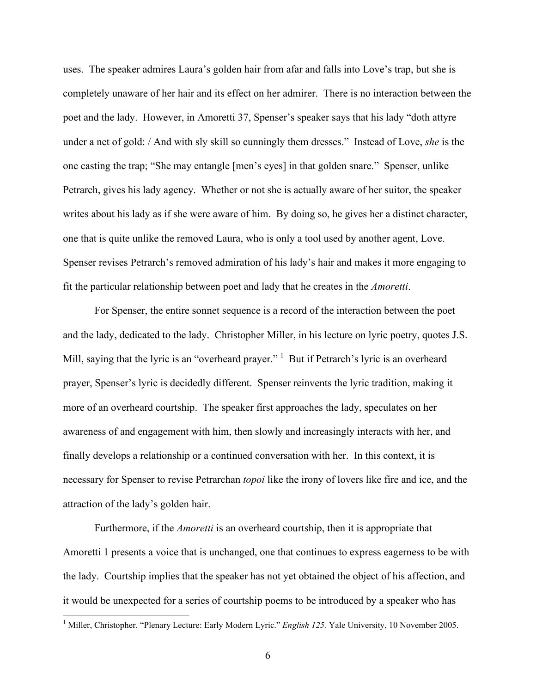uses. The speaker admires Laura's golden hair from afar and falls into Love's trap, but she is completely unaware of her hair and its effect on her admirer. There is no interaction between the poet and the lady. However, in Amoretti 37, Spenser's speaker says that his lady "doth attyre under a net of gold: / And with sly skill so cunningly them dresses." Instead of Love, *she* is the one casting the trap; "She may entangle [men's eyes] in that golden snare." Spenser, unlike Petrarch, gives his lady agency. Whether or not she is actually aware of her suitor, the speaker writes about his lady as if she were aware of him. By doing so, he gives her a distinct character, one that is quite unlike the removed Laura, who is only a tool used by another agent, Love. Spenser revises Petrarch's removed admiration of his lady's hair and makes it more engaging to fit the particular relationship between poet and lady that he creates in the *Amoretti*.

For Spenser, the entire sonnet sequence is a record of the interaction between the poet and the lady, dedicated to the lady. Christopher Miller, in his lecture on lyric poetry, quotes J.S. Mill, saying that the lyric is an "overheard prayer."  $1$  But if Petrarch's lyric is an overheard prayer, Spenser's lyric is decidedly different. Spenser reinvents the lyric tradition, making it more of an overheard courtship. The speaker first approaches the lady, speculates on her awareness of and engagement with him, then slowly and increasingly interacts with her, and finally develops a relationship or a continued conversation with her. In this context, it is necessary for Spenser to revise Petrarchan *topoi* like the irony of lovers like fire and ice, and the attraction of the lady's golden hair.

Furthermore, if the *Amoretti* is an overheard courtship, then it is appropriate that Amoretti 1 presents a voice that is unchanged, one that continues to express eagerness to be with the lady. Courtship implies that the speaker has not yet obtained the object of his affection, and it would be unexpected for a series of courtship poems to be introduced by a speaker who has

<sup>&</sup>lt;sup>1</sup> Miller, Christopher. "Plenary Lecture: Early Modern Lyric." *English 125*. Yale University, 10 November 2005.